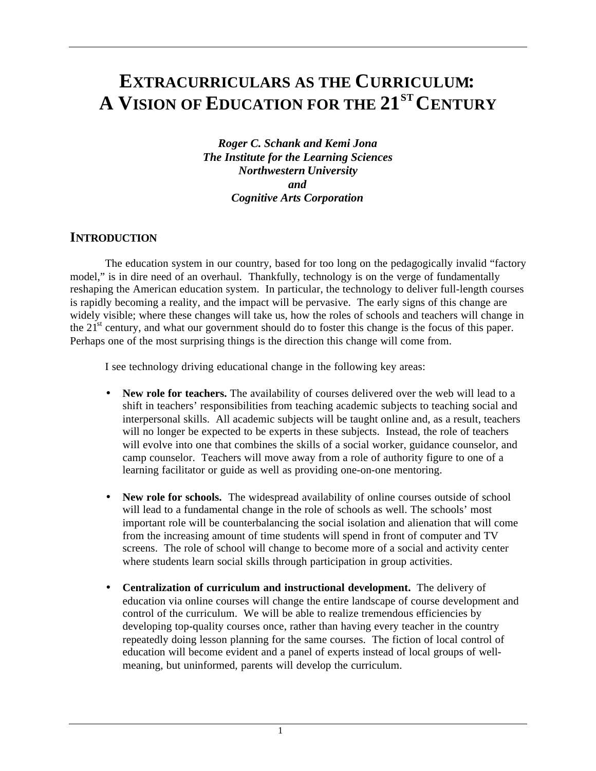# **EXTRACURRICULARS AS THE CURRICULUM: A VISION OF EDUCATION FOR THE 21STCENTURY**

*Roger C. Schank and Kemi Jona The Institute for the Learning Sciences Northwestern University and Cognitive Arts Corporation*

# **INTRODUCTION**

The education system in our country, based for too long on the pedagogically invalid "factory model," is in dire need of an overhaul. Thankfully, technology is on the verge of fundamentally reshaping the American education system. In particular, the technology to deliver full-length courses is rapidly becoming a reality, and the impact will be pervasive. The early signs of this change are widely visible; where these changes will take us, how the roles of schools and teachers will change in the  $21<sup>st</sup>$  century, and what our government should do to foster this change is the focus of this paper. Perhaps one of the most surprising things is the direction this change will come from.

I see technology driving educational change in the following key areas:

- **New role for teachers.** The availability of courses delivered over the web will lead to a shift in teachers' responsibilities from teaching academic subjects to teaching social and interpersonal skills. All academic subjects will be taught online and, as a result, teachers will no longer be expected to be experts in these subjects. Instead, the role of teachers will evolve into one that combines the skills of a social worker, guidance counselor, and camp counselor. Teachers will move away from a role of authority figure to one of a learning facilitator or guide as well as providing one-on-one mentoring.
- **New role for schools.** The widespread availability of online courses outside of school will lead to a fundamental change in the role of schools as well. The schools' most important role will be counterbalancing the social isolation and alienation that will come from the increasing amount of time students will spend in front of computer and TV screens. The role of school will change to become more of a social and activity center where students learn social skills through participation in group activities.
- **Centralization of curriculum and instructional development.** The delivery of education via online courses will change the entire landscape of course development and control of the curriculum. We will be able to realize tremendous efficiencies by developing top-quality courses once, rather than having every teacher in the country repeatedly doing lesson planning for the same courses. The fiction of local control of education will become evident and a panel of experts instead of local groups of wellmeaning, but uninformed, parents will develop the curriculum.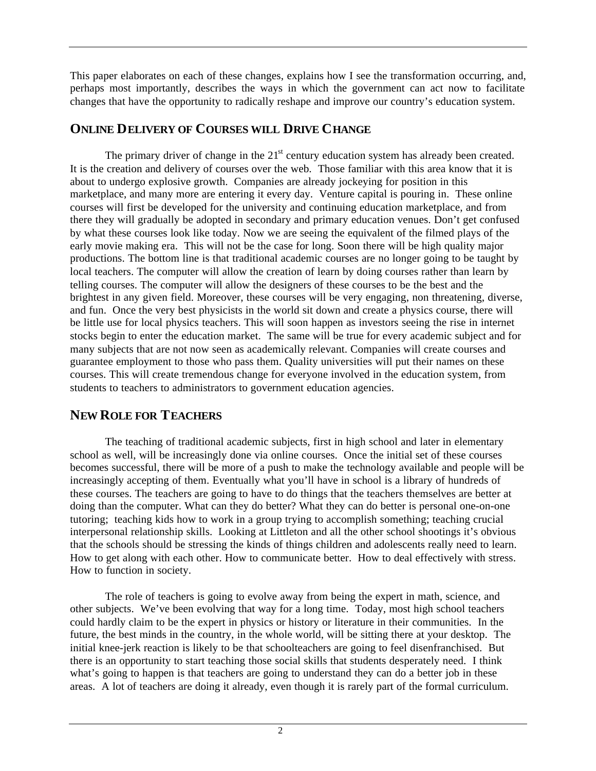This paper elaborates on each of these changes, explains how I see the transformation occurring, and, perhaps most importantly, describes the ways in which the government can act now to facilitate changes that have the opportunity to radically reshape and improve our country's education system.

#### **ONLINE DELIVERY OF COURSES WILL DRIVE CHANGE**

The primary driver of change in the  $21<sup>st</sup>$  century education system has already been created. It is the creation and delivery of courses over the web. Those familiar with this area know that it is about to undergo explosive growth. Companies are already jockeying for position in this marketplace, and many more are entering it every day. Venture capital is pouring in. These online courses will first be developed for the university and continuing education marketplace, and from there they will gradually be adopted in secondary and primary education venues. Don't get confused by what these courses look like today. Now we are seeing the equivalent of the filmed plays of the early movie making era. This will not be the case for long. Soon there will be high quality major productions. The bottom line is that traditional academic courses are no longer going to be taught by local teachers. The computer will allow the creation of learn by doing courses rather than learn by telling courses. The computer will allow the designers of these courses to be the best and the brightest in any given field. Moreover, these courses will be very engaging, non threatening, diverse, and fun. Once the very best physicists in the world sit down and create a physics course, there will be little use for local physics teachers. This will soon happen as investors seeing the rise in internet stocks begin to enter the education market. The same will be true for every academic subject and for many subjects that are not now seen as academically relevant. Companies will create courses and guarantee employment to those who pass them. Quality universities will put their names on these courses. This will create tremendous change for everyone involved in the education system, from students to teachers to administrators to government education agencies.

# **NEW ROLE FOR TEACHERS**

The teaching of traditional academic subjects, first in high school and later in elementary school as well, will be increasingly done via online courses. Once the initial set of these courses becomes successful, there will be more of a push to make the technology available and people will be increasingly accepting of them. Eventually what you'll have in school is a library of hundreds of these courses. The teachers are going to have to do things that the teachers themselves are better at doing than the computer. What can they do better? What they can do better is personal one-on-one tutoring; teaching kids how to work in a group trying to accomplish something; teaching crucial interpersonal relationship skills. Looking at Littleton and all the other school shootings it's obvious that the schools should be stressing the kinds of things children and adolescents really need to learn. How to get along with each other. How to communicate better. How to deal effectively with stress. How to function in society.

The role of teachers is going to evolve away from being the expert in math, science, and other subjects. We've been evolving that way for a long time. Today, most high school teachers could hardly claim to be the expert in physics or history or literature in their communities. In the future, the best minds in the country, in the whole world, will be sitting there at your desktop. The initial knee-jerk reaction is likely to be that schoolteachers are going to feel disenfranchised. But there is an opportunity to start teaching those social skills that students desperately need. I think what's going to happen is that teachers are going to understand they can do a better job in these areas. A lot of teachers are doing it already, even though it is rarely part of the formal curriculum.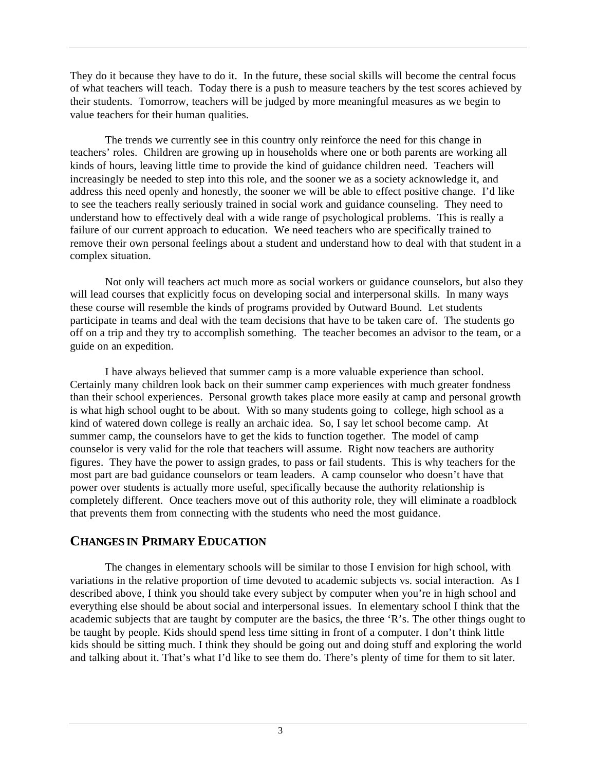They do it because they have to do it. In the future, these social skills will become the central focus of what teachers will teach. Today there is a push to measure teachers by the test scores achieved by their students. Tomorrow, teachers will be judged by more meaningful measures as we begin to value teachers for their human qualities.

The trends we currently see in this country only reinforce the need for this change in teachers' roles. Children are growing up in households where one or both parents are working all kinds of hours, leaving little time to provide the kind of guidance children need. Teachers will increasingly be needed to step into this role, and the sooner we as a society acknowledge it, and address this need openly and honestly, the sooner we will be able to effect positive change. I'd like to see the teachers really seriously trained in social work and guidance counseling. They need to understand how to effectively deal with a wide range of psychological problems. This is really a failure of our current approach to education. We need teachers who are specifically trained to remove their own personal feelings about a student and understand how to deal with that student in a complex situation.

Not only will teachers act much more as social workers or guidance counselors, but also they will lead courses that explicitly focus on developing social and interpersonal skills. In many ways these course will resemble the kinds of programs provided by Outward Bound. Let students participate in teams and deal with the team decisions that have to be taken care of. The students go off on a trip and they try to accomplish something. The teacher becomes an advisor to the team, or a guide on an expedition.

I have always believed that summer camp is a more valuable experience than school. Certainly many children look back on their summer camp experiences with much greater fondness than their school experiences. Personal growth takes place more easily at camp and personal growth is what high school ought to be about. With so many students going to college, high school as a kind of watered down college is really an archaic idea. So, I say let school become camp. At summer camp, the counselors have to get the kids to function together. The model of camp counselor is very valid for the role that teachers will assume. Right now teachers are authority figures. They have the power to assign grades, to pass or fail students. This is why teachers for the most part are bad guidance counselors or team leaders. A camp counselor who doesn't have that power over students is actually more useful, specifically because the authority relationship is completely different. Once teachers move out of this authority role, they will eliminate a roadblock that prevents them from connecting with the students who need the most guidance.

# **CHANGES IN PRIMARY EDUCATION**

The changes in elementary schools will be similar to those I envision for high school, with variations in the relative proportion of time devoted to academic subjects vs. social interaction. As I described above, I think you should take every subject by computer when you're in high school and everything else should be about social and interpersonal issues. In elementary school I think that the academic subjects that are taught by computer are the basics, the three 'R's. The other things ought to be taught by people. Kids should spend less time sitting in front of a computer. I don't think little kids should be sitting much. I think they should be going out and doing stuff and exploring the world and talking about it. That's what I'd like to see them do. There's plenty of time for them to sit later.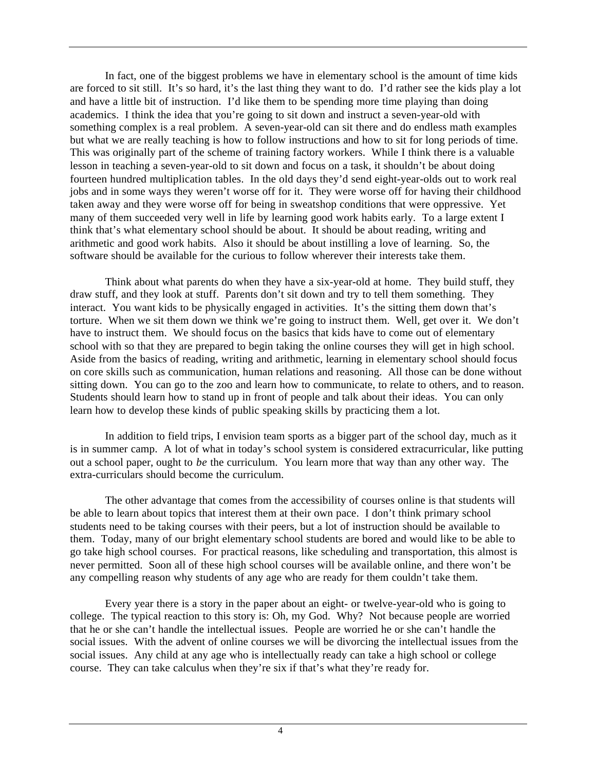In fact, one of the biggest problems we have in elementary school is the amount of time kids are forced to sit still. It's so hard, it's the last thing they want to do. I'd rather see the kids play a lot and have a little bit of instruction. I'd like them to be spending more time playing than doing academics. I think the idea that you're going to sit down and instruct a seven-year-old with something complex is a real problem. A seven-year-old can sit there and do endless math examples but what we are really teaching is how to follow instructions and how to sit for long periods of time. This was originally part of the scheme of training factory workers. While I think there is a valuable lesson in teaching a seven-year-old to sit down and focus on a task, it shouldn't be about doing fourteen hundred multiplication tables. In the old days they'd send eight-year-olds out to work real jobs and in some ways they weren't worse off for it. They were worse off for having their childhood taken away and they were worse off for being in sweatshop conditions that were oppressive. Yet many of them succeeded very well in life by learning good work habits early. To a large extent I think that's what elementary school should be about. It should be about reading, writing and arithmetic and good work habits. Also it should be about instilling a love of learning. So, the software should be available for the curious to follow wherever their interests take them.

Think about what parents do when they have a six-year-old at home. They build stuff, they draw stuff, and they look at stuff. Parents don't sit down and try to tell them something. They interact. You want kids to be physically engaged in activities. It's the sitting them down that's torture. When we sit them down we think we're going to instruct them. Well, get over it. We don't have to instruct them. We should focus on the basics that kids have to come out of elementary school with so that they are prepared to begin taking the online courses they will get in high school. Aside from the basics of reading, writing and arithmetic, learning in elementary school should focus on core skills such as communication, human relations and reasoning. All those can be done without sitting down. You can go to the zoo and learn how to communicate, to relate to others, and to reason. Students should learn how to stand up in front of people and talk about their ideas. You can only learn how to develop these kinds of public speaking skills by practicing them a lot.

In addition to field trips, I envision team sports as a bigger part of the school day, much as it is in summer camp. A lot of what in today's school system is considered extracurricular, like putting out a school paper, ought to *be* the curriculum. You learn more that way than any other way. The extra-curriculars should become the curriculum.

The other advantage that comes from the accessibility of courses online is that students will be able to learn about topics that interest them at their own pace. I don't think primary school students need to be taking courses with their peers, but a lot of instruction should be available to them. Today, many of our bright elementary school students are bored and would like to be able to go take high school courses. For practical reasons, like scheduling and transportation, this almost is never permitted. Soon all of these high school courses will be available online, and there won't be any compelling reason why students of any age who are ready for them couldn't take them.

Every year there is a story in the paper about an eight- or twelve-year-old who is going to college. The typical reaction to this story is: Oh, my God. Why? Not because people are worried that he or she can't handle the intellectual issues. People are worried he or she can't handle the social issues. With the advent of online courses we will be divorcing the intellectual issues from the social issues. Any child at any age who is intellectually ready can take a high school or college course. They can take calculus when they're six if that's what they're ready for.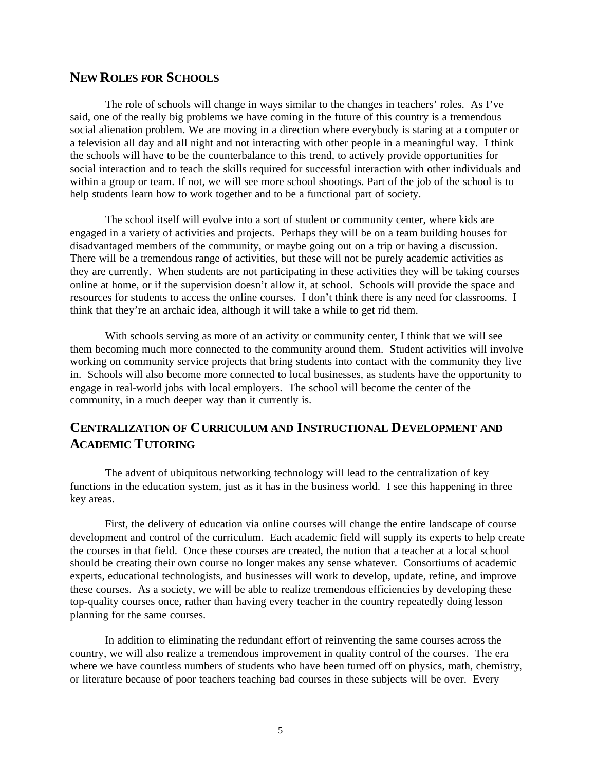#### **NEW ROLES FOR SCHOOLS**

The role of schools will change in ways similar to the changes in teachers' roles. As I've said, one of the really big problems we have coming in the future of this country is a tremendous social alienation problem. We are moving in a direction where everybody is staring at a computer or a television all day and all night and not interacting with other people in a meaningful way. I think the schools will have to be the counterbalance to this trend, to actively provide opportunities for social interaction and to teach the skills required for successful interaction with other individuals and within a group or team. If not, we will see more school shootings. Part of the job of the school is to help students learn how to work together and to be a functional part of society.

The school itself will evolve into a sort of student or community center, where kids are engaged in a variety of activities and projects. Perhaps they will be on a team building houses for disadvantaged members of the community, or maybe going out on a trip or having a discussion. There will be a tremendous range of activities, but these will not be purely academic activities as they are currently. When students are not participating in these activities they will be taking courses online at home, or if the supervision doesn't allow it, at school. Schools will provide the space and resources for students to access the online courses. I don't think there is any need for classrooms. I think that they're an archaic idea, although it will take a while to get rid them.

With schools serving as more of an activity or community center, I think that we will see them becoming much more connected to the community around them. Student activities will involve working on community service projects that bring students into contact with the community they live in. Schools will also become more connected to local businesses, as students have the opportunity to engage in real-world jobs with local employers. The school will become the center of the community, in a much deeper way than it currently is.

# **CENTRALIZATION OF CURRICULUM AND INSTRUCTIONAL DEVELOPMENT AND ACADEMIC TUTORING**

The advent of ubiquitous networking technology will lead to the centralization of key functions in the education system, just as it has in the business world. I see this happening in three key areas.

First, the delivery of education via online courses will change the entire landscape of course development and control of the curriculum. Each academic field will supply its experts to help create the courses in that field. Once these courses are created, the notion that a teacher at a local school should be creating their own course no longer makes any sense whatever. Consortiums of academic experts, educational technologists, and businesses will work to develop, update, refine, and improve these courses. As a society, we will be able to realize tremendous efficiencies by developing these top-quality courses once, rather than having every teacher in the country repeatedly doing lesson planning for the same courses.

In addition to eliminating the redundant effort of reinventing the same courses across the country, we will also realize a tremendous improvement in quality control of the courses. The era where we have countless numbers of students who have been turned off on physics, math, chemistry, or literature because of poor teachers teaching bad courses in these subjects will be over. Every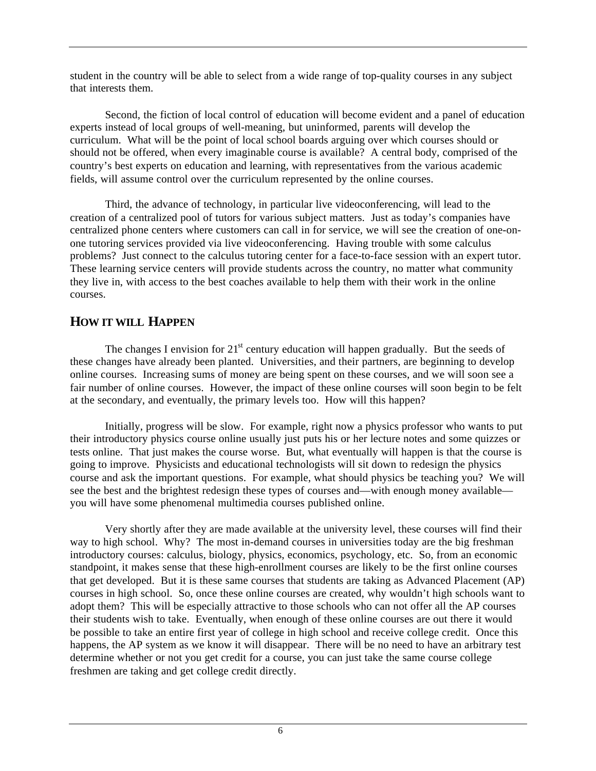student in the country will be able to select from a wide range of top-quality courses in any subject that interests them.

Second, the fiction of local control of education will become evident and a panel of education experts instead of local groups of well-meaning, but uninformed, parents will develop the curriculum. What will be the point of local school boards arguing over which courses should or should not be offered, when every imaginable course is available? A central body, comprised of the country's best experts on education and learning, with representatives from the various academic fields, will assume control over the curriculum represented by the online courses.

Third, the advance of technology, in particular live videoconferencing, will lead to the creation of a centralized pool of tutors for various subject matters. Just as today's companies have centralized phone centers where customers can call in for service, we will see the creation of one-onone tutoring services provided via live videoconferencing. Having trouble with some calculus problems? Just connect to the calculus tutoring center for a face-to-face session with an expert tutor. These learning service centers will provide students across the country, no matter what community they live in, with access to the best coaches available to help them with their work in the online courses.

# **HOW IT WILL HAPPEN**

The changes I envision for  $21<sup>st</sup>$  century education will happen gradually. But the seeds of these changes have already been planted. Universities, and their partners, are beginning to develop online courses. Increasing sums of money are being spent on these courses, and we will soon see a fair number of online courses. However, the impact of these online courses will soon begin to be felt at the secondary, and eventually, the primary levels too. How will this happen?

Initially, progress will be slow. For example, right now a physics professor who wants to put their introductory physics course online usually just puts his or her lecture notes and some quizzes or tests online. That just makes the course worse. But, what eventually will happen is that the course is going to improve. Physicists and educational technologists will sit down to redesign the physics course and ask the important questions. For example, what should physics be teaching you? We will see the best and the brightest redesign these types of courses and—with enough money available you will have some phenomenal multimedia courses published online.

Very shortly after they are made available at the university level, these courses will find their way to high school. Why? The most in-demand courses in universities today are the big freshman introductory courses: calculus, biology, physics, economics, psychology, etc. So, from an economic standpoint, it makes sense that these high-enrollment courses are likely to be the first online courses that get developed. But it is these same courses that students are taking as Advanced Placement (AP) courses in high school. So, once these online courses are created, why wouldn't high schools want to adopt them? This will be especially attractive to those schools who can not offer all the AP courses their students wish to take. Eventually, when enough of these online courses are out there it would be possible to take an entire first year of college in high school and receive college credit. Once this happens, the AP system as we know it will disappear. There will be no need to have an arbitrary test determine whether or not you get credit for a course, you can just take the same course college freshmen are taking and get college credit directly.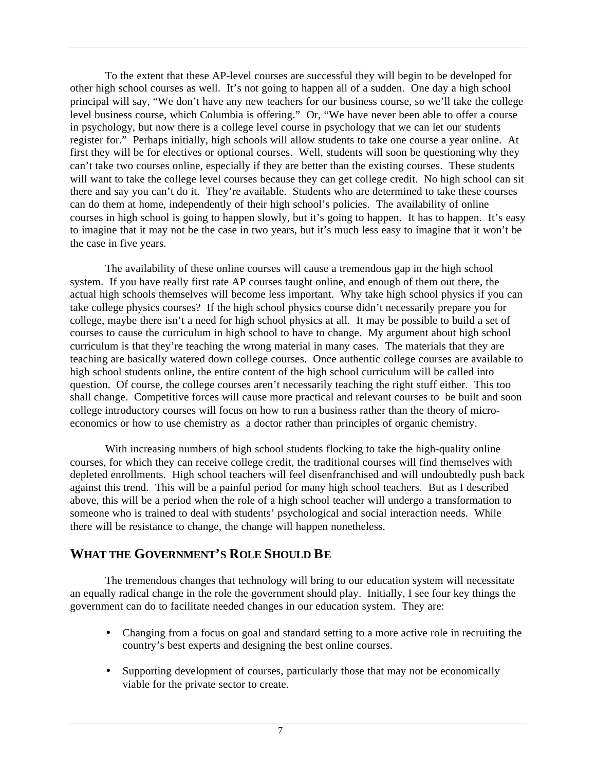To the extent that these AP-level courses are successful they will begin to be developed for other high school courses as well. It's not going to happen all of a sudden. One day a high school principal will say, "We don't have any new teachers for our business course, so we'll take the college level business course, which Columbia is offering." Or, "We have never been able to offer a course in psychology, but now there is a college level course in psychology that we can let our students register for." Perhaps initially, high schools will allow students to take one course a year online. At first they will be for electives or optional courses. Well, students will soon be questioning why they can't take two courses online, especially if they are better than the existing courses. These students will want to take the college level courses because they can get college credit. No high school can sit there and say you can't do it. They're available. Students who are determined to take these courses can do them at home, independently of their high school's policies. The availability of online courses in high school is going to happen slowly, but it's going to happen. It has to happen. It's easy to imagine that it may not be the case in two years, but it's much less easy to imagine that it won't be the case in five years.

The availability of these online courses will cause a tremendous gap in the high school system. If you have really first rate AP courses taught online, and enough of them out there, the actual high schools themselves will become less important. Why take high school physics if you can take college physics courses? If the high school physics course didn't necessarily prepare you for college, maybe there isn't a need for high school physics at all. It may be possible to build a set of courses to cause the curriculum in high school to have to change. My argument about high school curriculum is that they're teaching the wrong material in many cases. The materials that they are teaching are basically watered down college courses. Once authentic college courses are available to high school students online, the entire content of the high school curriculum will be called into question. Of course, the college courses aren't necessarily teaching the right stuff either. This too shall change. Competitive forces will cause more practical and relevant courses to be built and soon college introductory courses will focus on how to run a business rather than the theory of microeconomics or how to use chemistry as a doctor rather than principles of organic chemistry.

With increasing numbers of high school students flocking to take the high-quality online courses, for which they can receive college credit, the traditional courses will find themselves with depleted enrollments. High school teachers will feel disenfranchised and will undoubtedly push back against this trend. This will be a painful period for many high school teachers. But as I described above, this will be a period when the role of a high school teacher will undergo a transformation to someone who is trained to deal with students' psychological and social interaction needs. While there will be resistance to change, the change will happen nonetheless.

# **WHAT THE GOVERNMENT'S ROLE SHOULD BE**

The tremendous changes that technology will bring to our education system will necessitate an equally radical change in the role the government should play. Initially, I see four key things the government can do to facilitate needed changes in our education system. They are:

- Changing from a focus on goal and standard setting to a more active role in recruiting the country's best experts and designing the best online courses.
- Supporting development of courses, particularly those that may not be economically viable for the private sector to create.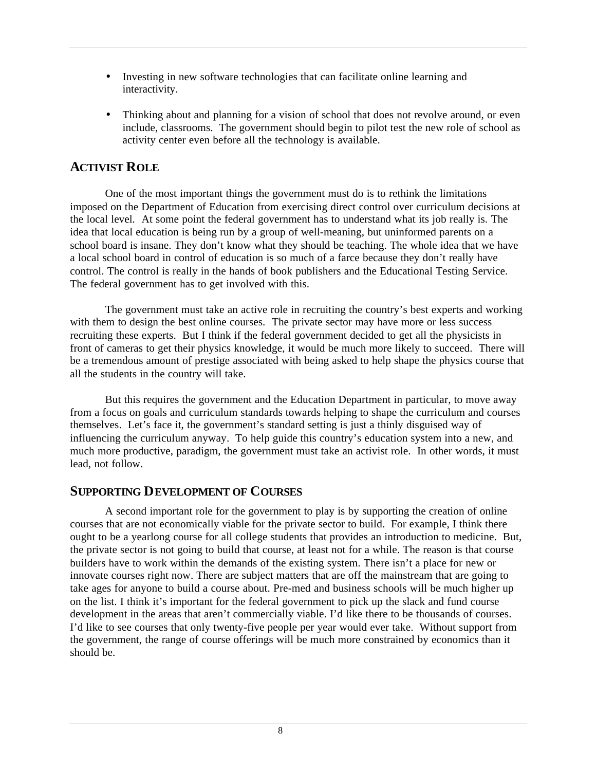- Investing in new software technologies that can facilitate online learning and interactivity.
- Thinking about and planning for a vision of school that does not revolve around, or even include, classrooms. The government should begin to pilot test the new role of school as activity center even before all the technology is available.

# **ACTIVIST ROLE**

One of the most important things the government must do is to rethink the limitations imposed on the Department of Education from exercising direct control over curriculum decisions at the local level. At some point the federal government has to understand what its job really is. The idea that local education is being run by a group of well-meaning, but uninformed parents on a school board is insane. They don't know what they should be teaching. The whole idea that we have a local school board in control of education is so much of a farce because they don't really have control. The control is really in the hands of book publishers and the Educational Testing Service. The federal government has to get involved with this.

The government must take an active role in recruiting the country's best experts and working with them to design the best online courses. The private sector may have more or less success recruiting these experts. But I think if the federal government decided to get all the physicists in front of cameras to get their physics knowledge, it would be much more likely to succeed. There will be a tremendous amount of prestige associated with being asked to help shape the physics course that all the students in the country will take.

But this requires the government and the Education Department in particular, to move away from a focus on goals and curriculum standards towards helping to shape the curriculum and courses themselves. Let's face it, the government's standard setting is just a thinly disguised way of influencing the curriculum anyway. To help guide this country's education system into a new, and much more productive, paradigm, the government must take an activist role. In other words, it must lead, not follow.

# **SUPPORTING DEVELOPMENT OF COURSES**

A second important role for the government to play is by supporting the creation of online courses that are not economically viable for the private sector to build. For example, I think there ought to be a yearlong course for all college students that provides an introduction to medicine. But, the private sector is not going to build that course, at least not for a while. The reason is that course builders have to work within the demands of the existing system. There isn't a place for new or innovate courses right now. There are subject matters that are off the mainstream that are going to take ages for anyone to build a course about. Pre-med and business schools will be much higher up on the list. I think it's important for the federal government to pick up the slack and fund course development in the areas that aren't commercially viable. I'd like there to be thousands of courses. I'd like to see courses that only twenty-five people per year would ever take. Without support from the government, the range of course offerings will be much more constrained by economics than it should be.